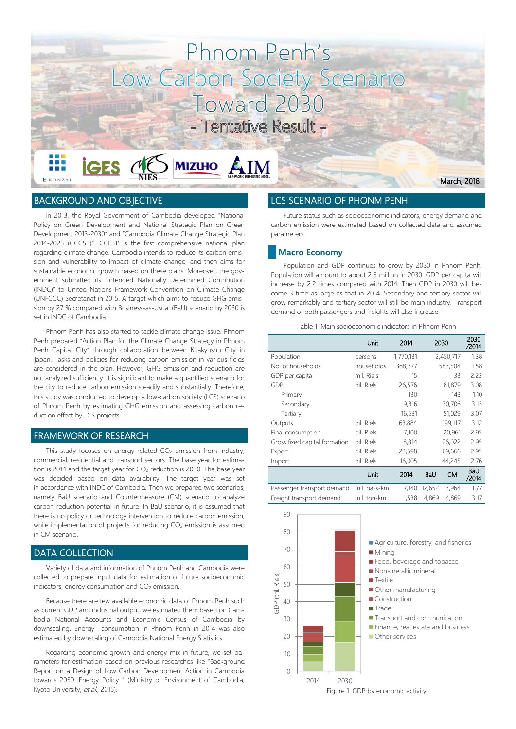

 $\sum$  MIZUHO  $\sum$  IM

# BACKGROUND AND OBJECTIVE

**E** KONZAI

**İGES** 

In 2013, the Royal Government of Cambodia developed "National Policy on Green Development and National Strategic Plan on Green Development 2013-2030" and "Cambodia Climate Change Strategic Plan 2014-2023 (CCCSP)". CCCSP is the first comprehensive national plan regarding climate change. Cambodia intends to reduce its carbon emission and vulnerability to impact of climate change, and then aims for sustainable economic growth based on these plans. Moreover, the government submitted its "Intended Nationally Determined Contribution (INDC)" to United Nations Framework Convention on Climate Change (UNFCCC) Secretariat in 2015. A target which aims to reduce GHG emission by 27 % compared with Business-as-Usual (BaU) scenario by 2030 is set in INDC of Cambodia.

 $\mathcal{M}\epsilon$ 

Phnom Penh has also started to tackle climate change issue. Phnom Penh prepared "Action Plan for the Climate Change Strategy in Phnom Penh Capital City" through collaboration between Kitakyushu City in Japan. Tasks and policies for reducing carbon emission in various fields are considered in the plan. However, GHG emission and reduction are not analyzed sufficiently. It is significant to make a quantified scenario for the city to reduce carbon emission steadily and substantially. Therefore, this study was conducted to develop a low-carbon society (LCS) scenario of Phnom Penh by estimating GHG emission and assessing carbon reduction effect by LCS projects.

## FRAMEWORK OF RESEARCH

This study focuses on energy-related CO<sub>2</sub> emission from industry, commercial, residential and transport sectors. The base year for estimation is 2014 and the target year for  $CO<sub>2</sub>$  reduction is 2030. The base year was decided based on data availability. The target year was set in accordance with INDC of Cambodia. Then we prepared two scenarios, namely BaU scenario and Countermeasure (CM) scenario to analyze carbon reduction potential in future. In BaU scenario, it is assumed that there is no policy or technology intervention to reduce carbon emission, while implementation of projects for reducing  $CO<sub>2</sub>$  emission is assumed in CM scenario.

#### DATA COLLECTION

Variety of data and information of Phnom Penh and Cambodia were collected to prepare input data for estimation of future socioeconomic indicators, energy consumption and CO<sub>2</sub> emission.

Because there are few available economic data of Phnom Penh such as current GDP and industrial output, we estimated them based on Cambodia National Accounts and Economic Census of Cambodia by downscaling. Energy consumption in Phnom Penh in 2014 was also estimated by downscaling of Cambodia National Energy Statistics.

Regarding economic growth and energy mix in future, we set parameters for estimation based on previous researches like "Background Report on a Design of Low Carbon Development Action in Cambodia towards 2050: Energy Policy " (Ministry of Environment of Cambodia, Kyoto University, et al., 2015).

#### LCS SCENARIO OF PHONM PENH

Future status such as socioeconomic indicators, energy demand and carbon emission were estimated based on collected data and assumed parameters.

March, 2018

#### Macro Economy

Population and GDP continues to grow by 2030 in Phnom Penh. Population will amount to about 2.5 million in 2030. GDP per capita will increase by 2.2 times compared with 2014. Then GDP in 2030 will become 3 time as large as that in 2014. Secondary and tertiary sector will grow remarkably and tertiary sector will still be main industry. Transport demand of both passengers and freights will also increase.

| Table 1. Main socioeconomic indicators in Phnom Penh |  |  |  |  |  |  |  |  |
|------------------------------------------------------|--|--|--|--|--|--|--|--|
|------------------------------------------------------|--|--|--|--|--|--|--|--|

|                               | Unit         | 2014      |         | 2030      | 2030<br>/2014 |
|-------------------------------|--------------|-----------|---------|-----------|---------------|
| Population                    | persons      | 1,770,131 |         | 2,450,717 | 1.38          |
| No. of households             | households   | 368,777   | 583,504 |           | 1.58          |
| GDP per capita                | mil. Riels   | 15        | 33      |           | 2.23          |
| GDP                           | bil. Riels   | 26,576    |         | 81,879    | 3.08          |
| Primary                       |              | 130       |         | 143       | 1.10          |
| Secondary                     |              | 9,816     |         | 30,706    | 3.13          |
| Tertiary                      |              | 16,631    |         | 51,029    | 3.07          |
| Outputs                       | bil. Riels   | 63,884    |         | 199,117   | 3.12          |
| Final consumption             | bil. Riels   | 7,100     |         | 20,961    | 2.95          |
| Gross fixed capital formation | bil. Riels   | 8,814     |         | 26,022    | 2.95          |
| Export                        | bil. Riels   | 23,598    |         | 69,666    | 2.95          |
| Import                        | bil. Riels   | 16,005    |         | 44,245    | 2.76          |
|                               | Unit         | 2014      | BaU     | СM        | BaU<br>/2014  |
| Passenger transport demand    | mil. pass-km | 7,140     | 12,652  | 13,964    | 1.77          |
| Freight transport demand      | mil. ton-km  | 1,538     | 4.869   | 4,869     | 3.17          |